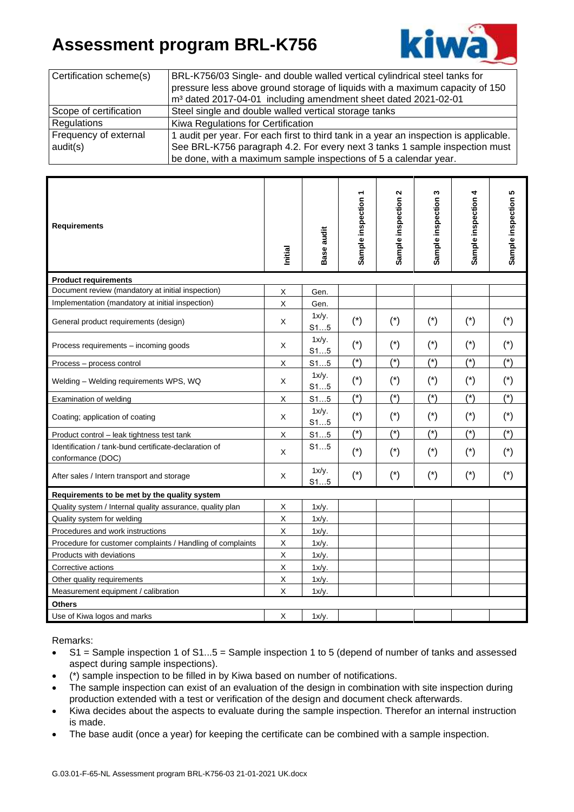## **Assessment program BRL-K756**



| Certification scheme(s) | BRL-K756/03 Single- and double walled vertical cylindrical steel tanks for            |  |  |  |  |
|-------------------------|---------------------------------------------------------------------------------------|--|--|--|--|
|                         | pressure less above ground storage of liquids with a maximum capacity of 150          |  |  |  |  |
|                         | m <sup>3</sup> dated 2017-04-01 including amendment sheet dated 2021-02-01            |  |  |  |  |
| Scope of certification  | Steel single and double walled vertical storage tanks                                 |  |  |  |  |
| Regulations             | Kiwa Regulations for Certification                                                    |  |  |  |  |
| Frequency of external   | 1 audit per year. For each first to third tank in a year an inspection is applicable. |  |  |  |  |
| audit(s)                | See BRL-K756 paragraph 4.2. For every next 3 tanks 1 sample inspection must           |  |  |  |  |
|                         | be done, with a maximum sample inspections of 5 a calendar year.                      |  |  |  |  |

| <b>Requirements</b>                                                        | Initial     | Base audit      | Sample inspection 1   | $\mathbf{\Omega}$<br>Sample inspection | $\boldsymbol{\varsigma}$<br>Sample inspection | 4<br>Sample inspection | 5<br>Sample inspection |  |  |
|----------------------------------------------------------------------------|-------------|-----------------|-----------------------|----------------------------------------|-----------------------------------------------|------------------------|------------------------|--|--|
| <b>Product requirements</b>                                                |             |                 |                       |                                        |                                               |                        |                        |  |  |
| Document review (mandatory at initial inspection)                          |             | Gen.            |                       |                                        |                                               |                        |                        |  |  |
| Implementation (mandatory at initial inspection)                           |             | Gen.            |                       |                                        |                                               |                        |                        |  |  |
| General product requirements (design)                                      | X           | 1x/y.<br>S15    | $(\dot{\phantom{a}})$ | $(\dot{\phantom{a}})$                  | $(*)$                                         | $(*)$                  | $(*)$                  |  |  |
| Process requirements - incoming goods                                      | Χ           | $1x/y$ .<br>S15 | $(*)$                 | $(*)$                                  | $(*)$                                         | $(*)$                  | $(*)$                  |  |  |
| Process - process control                                                  |             | S15             | $(*)$                 | $(*)$                                  | $(*)$                                         | $(*)$                  | $(*)$                  |  |  |
| Welding - Welding requirements WPS, WQ                                     | X           | 1x/y.<br>S15    | $(*)$                 | $(*)$                                  | $(*)$                                         | $(*)$                  | $(*)$                  |  |  |
| Examination of welding                                                     |             | S15             | $(*)$                 | $(*)$                                  | $(*)$                                         | $(*)$                  | $(*)$                  |  |  |
| Coating; application of coating                                            |             | 1x/y.<br>S15    | $(*)$                 | $(*)$                                  | $(*)$                                         | $(*)$                  | $(*)$                  |  |  |
| Product control - leak tightness test tank                                 |             | S15             | $(*)$                 | $(*)$                                  | $(*)$                                         | $(*)$                  | $(*)$                  |  |  |
| Identification / tank-bund certificate-declaration of<br>conformance (DOC) |             | S15             | $(*)$                 | $(*)$                                  | $(*)$                                         | $(*)$                  | $(*)$                  |  |  |
| After sales / Intern transport and storage                                 | X           | 1x/y.<br>S15    | $(*)$                 | $(*)$                                  | $(*)$                                         | $(*)$                  | $(*)$                  |  |  |
| Requirements to be met by the quality system                               |             |                 |                       |                                        |                                               |                        |                        |  |  |
| Quality system / Internal quality assurance, quality plan                  | X           | $1x/y$ .        |                       |                                        |                                               |                        |                        |  |  |
| Quality system for welding                                                 | $\mathsf X$ | 1x/y.           |                       |                                        |                                               |                        |                        |  |  |
| Procedures and work instructions                                           |             | $1x/y$ .        |                       |                                        |                                               |                        |                        |  |  |
| Procedure for customer complaints / Handling of complaints                 |             | $1x/y$ .        |                       |                                        |                                               |                        |                        |  |  |
| Products with deviations                                                   |             | 1x/y.           |                       |                                        |                                               |                        |                        |  |  |
| Corrective actions                                                         |             | $1x/y$ .        |                       |                                        |                                               |                        |                        |  |  |
| Other quality requirements                                                 |             | 1x/y.           |                       |                                        |                                               |                        |                        |  |  |
| Measurement equipment / calibration                                        |             | $1x/y$ .        |                       |                                        |                                               |                        |                        |  |  |
| <b>Others</b>                                                              |             |                 |                       |                                        |                                               |                        |                        |  |  |
| Use of Kiwa logos and marks                                                |             | $1x/y$ .        |                       |                                        |                                               |                        |                        |  |  |

Remarks:

- S1 = Sample inspection 1 of S1...5 = Sample inspection 1 to 5 (depend of number of tanks and assessed aspect during sample inspections).
- (\*) sample inspection to be filled in by Kiwa based on number of notifications.
- The sample inspection can exist of an evaluation of the design in combination with site inspection during production extended with a test or verification of the design and document check afterwards.
- Kiwa decides about the aspects to evaluate during the sample inspection. Therefor an internal instruction is made.
- The base audit (once a year) for keeping the certificate can be combined with a sample inspection.